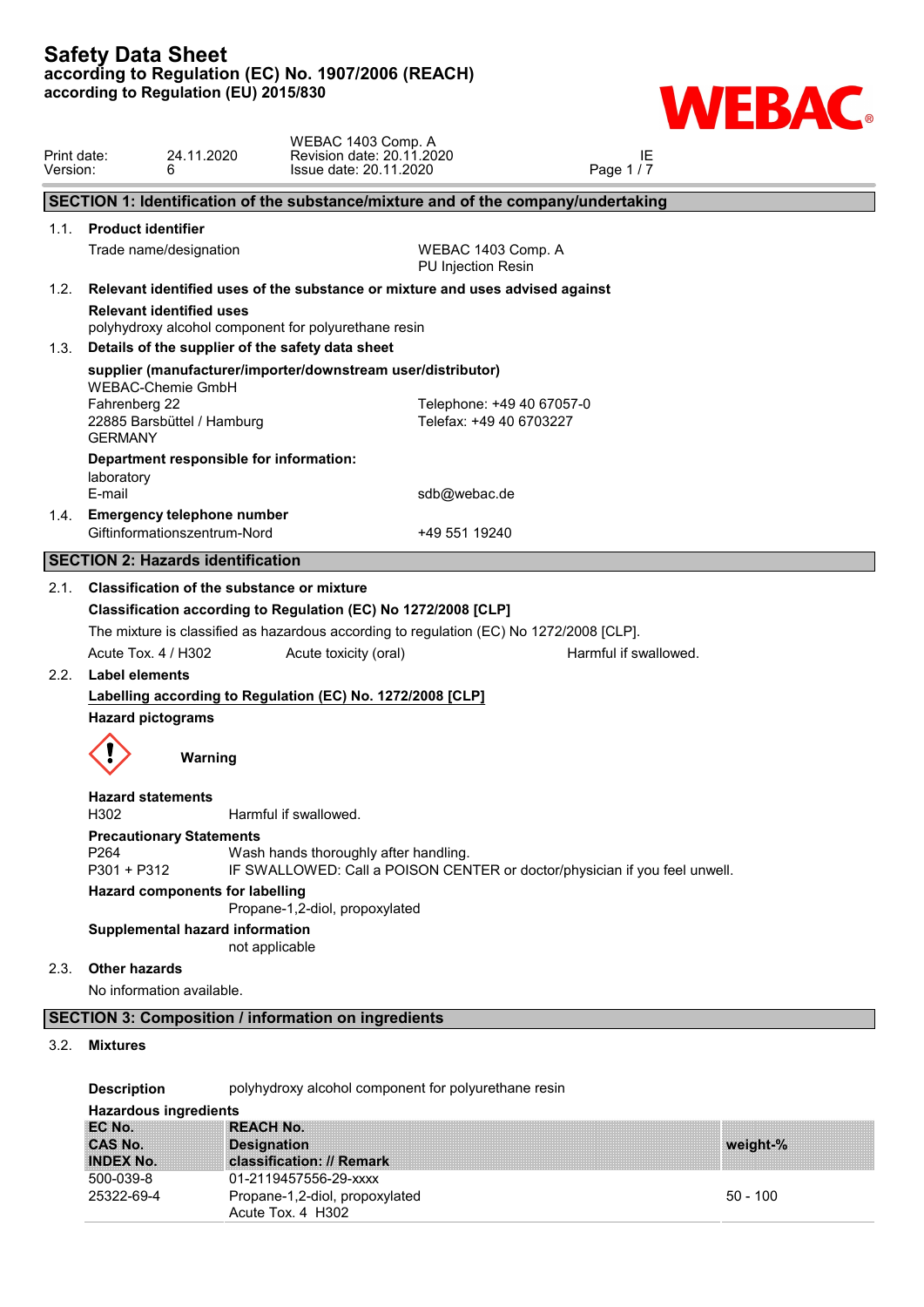

| Print date:<br>Version: | 6                                                           | 24.11.2020                                                        | WEBAC 1403 Comp. A<br>Revision date: 20.11.2020<br>Issue date: 20.11.2020 |                                                                                         | Page 1/7              | IE |  |
|-------------------------|-------------------------------------------------------------|-------------------------------------------------------------------|---------------------------------------------------------------------------|-----------------------------------------------------------------------------------------|-----------------------|----|--|
|                         |                                                             |                                                                   |                                                                           | SECTION 1: Identification of the substance/mixture and of the company/undertaking       |                       |    |  |
| 1.1.                    | <b>Product identifier</b>                                   |                                                                   |                                                                           |                                                                                         |                       |    |  |
|                         | Trade name/designation                                      |                                                                   |                                                                           | WEBAC 1403 Comp. A<br>PU Injection Resin                                                |                       |    |  |
| 1.2.                    |                                                             |                                                                   |                                                                           | Relevant identified uses of the substance or mixture and uses advised against           |                       |    |  |
|                         | <b>Relevant identified uses</b>                             |                                                                   | polyhydroxy alcohol component for polyurethane resin                      |                                                                                         |                       |    |  |
| 1.3.                    |                                                             |                                                                   | Details of the supplier of the safety data sheet                          |                                                                                         |                       |    |  |
|                         | <b>WEBAC-Chemie GmbH</b><br>Fahrenberg 22<br><b>GERMANY</b> | 22885 Barsbüttel / Hamburg                                        | supplier (manufacturer/importer/downstream user/distributor)              | Telephone: +49 40 67057-0<br>Telefax: +49 40 6703227                                    |                       |    |  |
|                         | laboratory<br>E-mail                                        | Department responsible for information:                           |                                                                           | sdb@webac.de                                                                            |                       |    |  |
| 1.4.                    |                                                             | <b>Emergency telephone number</b><br>Giftinformationszentrum-Nord |                                                                           | +49 551 19240                                                                           |                       |    |  |
|                         |                                                             | <b>SECTION 2: Hazards identification</b>                          |                                                                           |                                                                                         |                       |    |  |
| 2.1.                    |                                                             | <b>Classification of the substance or mixture</b>                 |                                                                           |                                                                                         |                       |    |  |
|                         |                                                             |                                                                   | Classification according to Regulation (EC) No 1272/2008 [CLP]            |                                                                                         |                       |    |  |
|                         |                                                             |                                                                   |                                                                           | The mixture is classified as hazardous according to regulation (EC) No 1272/2008 [CLP]. |                       |    |  |
|                         | Acute Tox. 4 / H302                                         |                                                                   | Acute toxicity (oral)                                                     |                                                                                         | Harmful if swallowed. |    |  |
| 2.2.                    | <b>Label elements</b>                                       |                                                                   |                                                                           |                                                                                         |                       |    |  |
|                         |                                                             |                                                                   | Labelling according to Regulation (EC) No. 1272/2008 [CLP]                |                                                                                         |                       |    |  |
|                         | <b>Hazard pictograms</b>                                    |                                                                   |                                                                           |                                                                                         |                       |    |  |
|                         |                                                             | Warning                                                           |                                                                           |                                                                                         |                       |    |  |
|                         | <b>Hazard statements</b><br>H302                            |                                                                   | Harmful if swallowed.                                                     |                                                                                         |                       |    |  |
|                         | <b>Precautionary Statements</b><br>P264<br>P301 + P312      |                                                                   | Wash hands thoroughly after handling.                                     | IF SWALLOWED: Call a POISON CENTER or doctor/physician if you feel unwell.              |                       |    |  |
|                         |                                                             | <b>Hazard components for labelling</b>                            | Propane-1,2-diol, propoxylated                                            |                                                                                         |                       |    |  |
|                         |                                                             | Supplemental hazard information<br>not applicable                 |                                                                           |                                                                                         |                       |    |  |
| 2.3.                    | <b>Other hazards</b>                                        |                                                                   |                                                                           |                                                                                         |                       |    |  |
|                         | No information available.                                   |                                                                   |                                                                           |                                                                                         |                       |    |  |
|                         |                                                             |                                                                   | <b>SECTION 3: Composition / information on ingredients</b>                |                                                                                         |                       |    |  |
| 3.2.                    | <b>Mixtures</b>                                             |                                                                   |                                                                           |                                                                                         |                       |    |  |
|                         |                                                             |                                                                   |                                                                           |                                                                                         |                       |    |  |

**Description** polyhydroxy alcohol component for polyurethane resin

## **Hazardous ingredients**

| EC No.           | <b>REACH No.</b>               |            |
|------------------|--------------------------------|------------|
| <b>CAS No.</b>   | <b>Designation</b>             | weight-%   |
| <b>INDEX No.</b> | classification: // Remark      |            |
| 500-039-8        | 01-2119457556-29-xxxx          |            |
| 25322-69-4       | Propane-1,2-diol, propoxylated | $50 - 100$ |
|                  | Acute Tox. 4 H302              |            |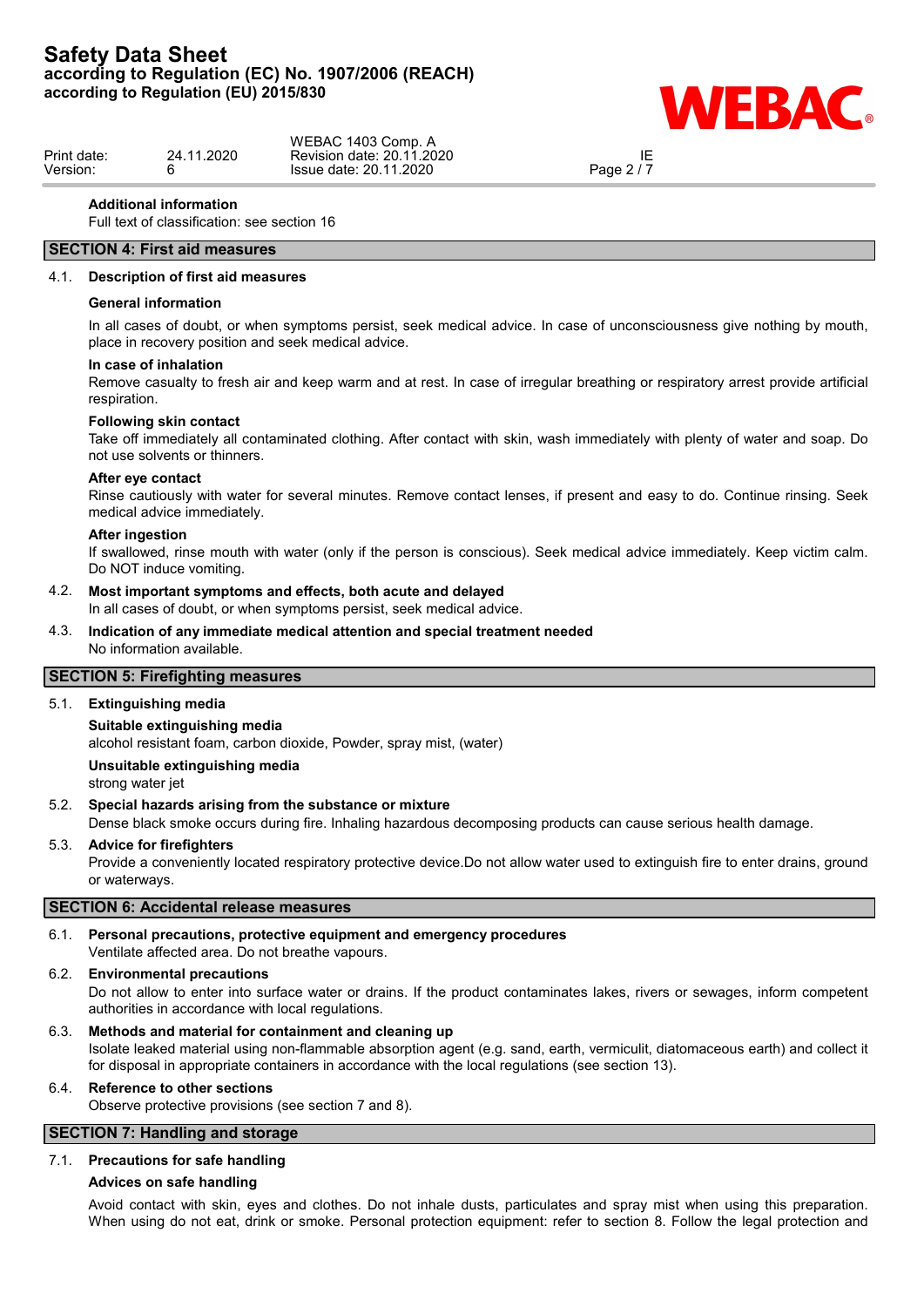

|             |                | WEBAC 1403 Comp. A        |            |  |
|-------------|----------------|---------------------------|------------|--|
| Print date: | .2020<br>24.11 | Revision date: 20.11.2020 | ᄔ          |  |
| Version:    |                | Issue date: 20.11.2020    | Page $2/7$ |  |
|             |                |                           |            |  |

#### **Additional information**

Full text of classification: see section 16

## **SECTION 4: First aid measures**

#### 4.1. **Description of first aid measures**

#### **General information**

In all cases of doubt, or when symptoms persist, seek medical advice. In case of unconsciousness give nothing by mouth, place in recovery position and seek medical advice.

#### **In case of inhalation**

Remove casualty to fresh air and keep warm and at rest. In case of irregular breathing or respiratory arrest provide artificial respiration.

#### **Following skin contact**

Take off immediately all contaminated clothing. After contact with skin, wash immediately with plenty of water and soap. Do not use solvents or thinners.

#### **After eye contact**

Rinse cautiously with water for several minutes. Remove contact lenses, if present and easy to do. Continue rinsing. Seek medical advice immediately.

#### **After ingestion**

If swallowed, rinse mouth with water (only if the person is conscious). Seek medical advice immediately. Keep victim calm. Do NOT induce vomiting.

#### 4.2. **Most important symptoms and effects, both acute and delayed**

In all cases of doubt, or when symptoms persist, seek medical advice.

#### 4.3. **Indication of any immediate medical attention and special treatment needed** No information available.

## **SECTION 5: Firefighting measures**

## 5.1. **Extinguishing media**

#### **Suitable extinguishing media**

alcohol resistant foam, carbon dioxide, Powder, spray mist, (water)

#### **Unsuitable extinguishing media**

strong water jet

#### 5.2. **Special hazards arising from the substance or mixture**

Dense black smoke occurs during fire. Inhaling hazardous decomposing products can cause serious health damage.

#### 5.3. **Advice for firefighters**

Provide a conveniently located respiratory protective device.Do not allow water used to extinguish fire to enter drains, ground or waterways.

#### **SECTION 6: Accidental release measures**

# 6.1. **Personal precautions, protective equipment and emergency procedures**

## Ventilate affected area. Do not breathe vapours.

#### 6.2. **Environmental precautions**

Do not allow to enter into surface water or drains. If the product contaminates lakes, rivers or sewages, inform competent authorities in accordance with local regulations.

#### 6.3. **Methods and material for containment and cleaning up** Isolate leaked material using non-flammable absorption agent (e.g. sand, earth, vermiculit, diatomaceous earth) and collect it

for disposal in appropriate containers in accordance with the local regulations (see section 13).

## 6.4. **Reference to other sections**

Observe protective provisions (see section 7 and 8).

# **SECTION 7: Handling and storage**

#### 7.1. **Precautions for safe handling**

#### **Advices on safe handling**

Avoid contact with skin, eyes and clothes. Do not inhale dusts, particulates and spray mist when using this preparation. When using do not eat, drink or smoke. Personal protection equipment: refer to section 8. Follow the legal protection and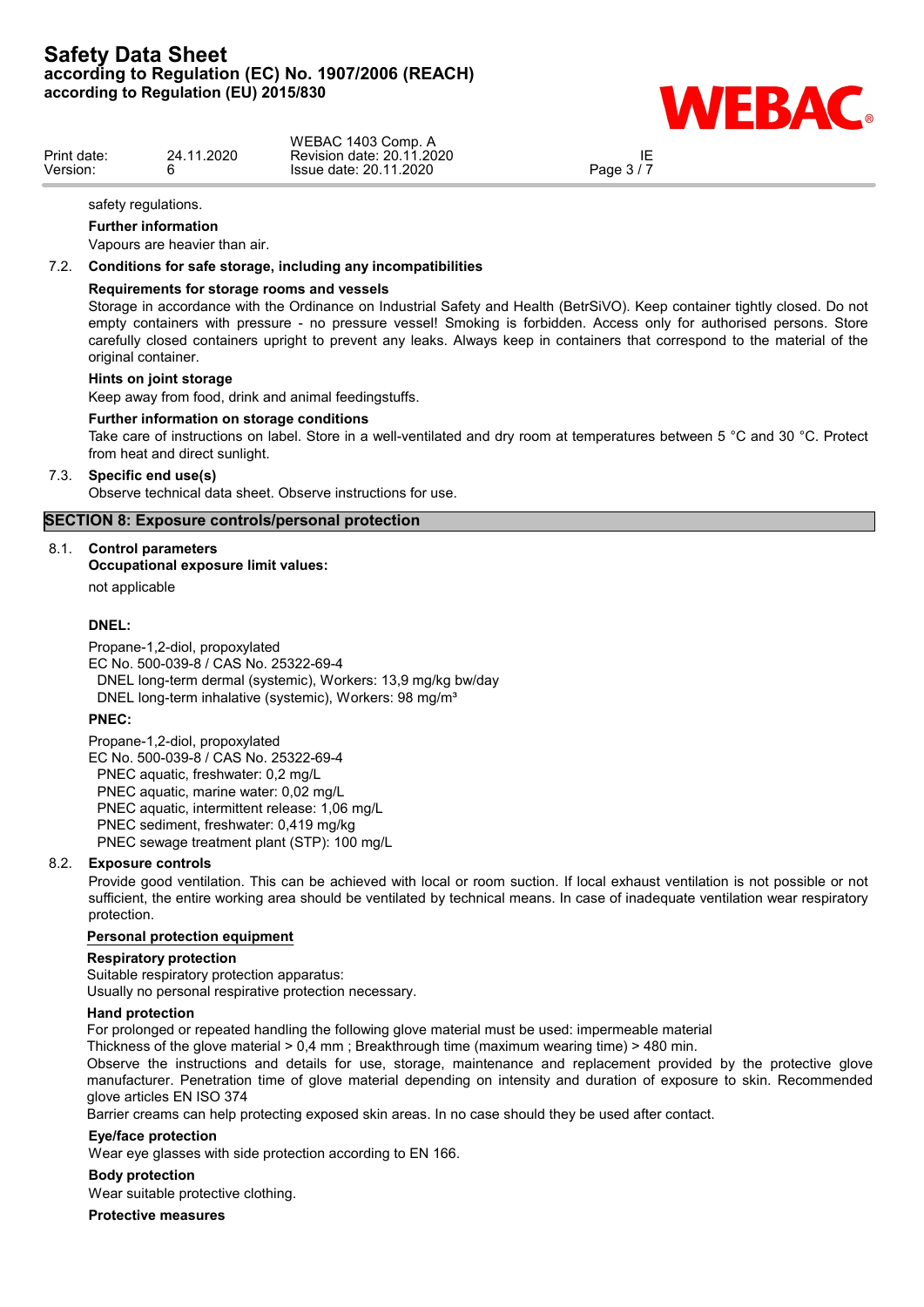

|             |               | WEBAC 1403 Comp. A           |            |  |
|-------------|---------------|------------------------------|------------|--|
| Print date: | .2020<br>24.1 | Revision date: 20.11.2020    | IE         |  |
| Version:    |               | 1.2020<br>Issue date: 20.11. | Page $3/7$ |  |
|             |               |                              |            |  |

IE<br>Page 3 / 7

#### safety regulations.

#### **Further information**

Vapours are heavier than air.

#### 7.2. **Conditions for safe storage, including any incompatibilities**

#### **Requirements for storage rooms and vessels**

Storage in accordance with the Ordinance on Industrial Safety and Health (BetrSiVO). Keep container tightly closed. Do not empty containers with pressure - no pressure vessel! Smoking is forbidden. Access only for authorised persons. Store carefully closed containers upright to prevent any leaks. Always keep in containers that correspond to the material of the original container.

#### **Hints on joint storage**

Keep away from food, drink and animal feedingstuffs.

#### **Further information on storage conditions**

Take care of instructions on label. Store in a well-ventilated and dry room at temperatures between 5 °C and 30 °C. Protect from heat and direct sunlight.

#### 7.3. **Specific end use(s)**

Observe technical data sheet. Observe instructions for use.

## **SECTION 8: Exposure controls/personal protection**

#### 8.1. **Control parameters**

#### **Occupational exposure limit values:**

not applicable

#### **DNEL:**

Propane-1,2-diol, propoxylated EC No. 500-039-8 / CAS No. 25322-69-4 DNEL long-term dermal (systemic), Workers: 13,9 mg/kg bw/day DNEL long-term inhalative (systemic), Workers: 98 mg/m<sup>3</sup>

#### **PNEC:**

Propane-1,2-diol, propoxylated EC No. 500-039-8 / CAS No. 25322-69-4 PNEC aquatic, freshwater: 0,2 mg/L PNEC aquatic, marine water: 0,02 mg/L PNEC aquatic, intermittent release: 1,06 mg/L PNEC sediment, freshwater: 0,419 mg/kg PNEC sewage treatment plant (STP): 100 mg/L

#### 8.2. **Exposure controls**

Provide good ventilation. This can be achieved with local or room suction. If local exhaust ventilation is not possible or not sufficient, the entire working area should be ventilated by technical means. In case of inadequate ventilation wear respiratory protection.

#### **Personal protection equipment**

#### **Respiratory protection**

Suitable respiratory protection apparatus: Usually no personal respirative protection necessary.

#### **Hand protection**

For prolonged or repeated handling the following glove material must be used: impermeable material

Thickness of the glove material > 0,4 mm ; Breakthrough time (maximum wearing time) > 480 min.

Observe the instructions and details for use, storage, maintenance and replacement provided by the protective glove manufacturer. Penetration time of glove material depending on intensity and duration of exposure to skin. Recommended glove articles EN ISO 374

Barrier creams can help protecting exposed skin areas. In no case should they be used after contact.

#### **Eye/face protection**

Wear eye glasses with side protection according to EN 166.

#### **Body protection**

Wear suitable protective clothing.

**Protective measures**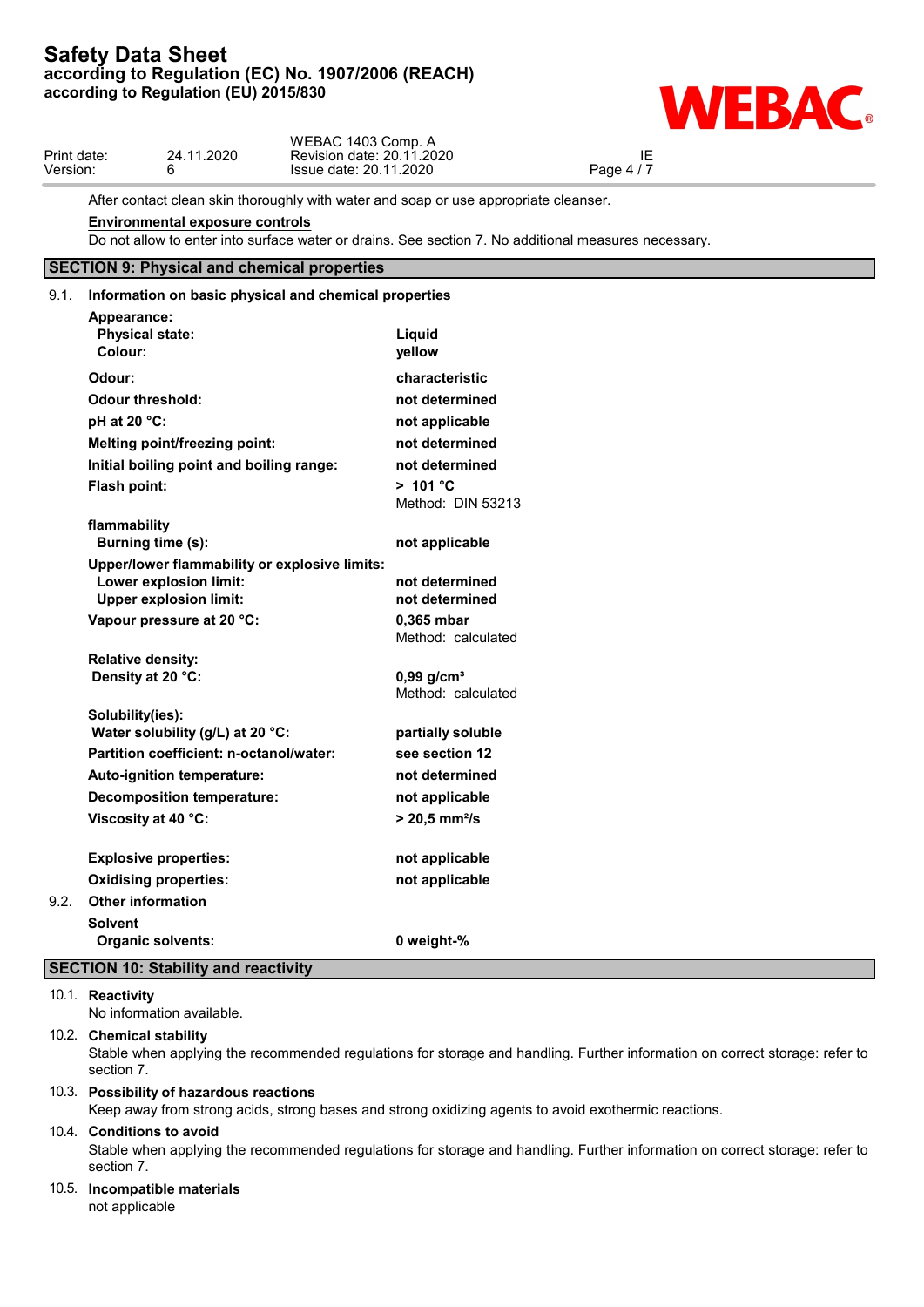

After contact clean skin thoroughly with water and soap or use appropriate cleanser.

#### **Environmental exposure controls**

Do not allow to enter into surface water or drains. See section 7. No additional measures necessary.

# **SECTION 9: Physical and chemical properties**

# 9.1. **Information on basic physical and chemical properties Appearance: Physical state: Liquid Colour: yellow Odour: characteristic Odour threshold: not determined pH at 20 °C: not applicable Melting point/freezing point: not determined Initial boiling point and boiling range: not determined Flash point: > 101 °C** Method: DIN 53213 **flammability Burning time (s): not applicable Upper/lower flammability or explosive limits: Lower explosion limit: not determined Upper explosion limit: not determined Vapour pressure at 20 °C: 0,365 mbar** Method: calculated **Relative density: Density at 20 °C:** 0,99 g/cm<sup>3</sup> Method: calculated **Solubility(ies): Water solubility (g/L) at 20 °C: partially soluble Partition coefficient: n-octanol/water: see section 12 Auto-ignition temperature: not determined Decomposition temperature: not applicable Viscosity at 40 °C: > 20,5 mm²/s Explosive properties: not applicable Oxidising properties: not applicable** 9.2. **Other information Solvent Organic solvents: 0 weight-% SECTION 10: Stability and reactivity**

#### 10.1. **Reactivity**

No information available.

#### 10.2. **Chemical stability**

Stable when applying the recommended regulations for storage and handling. Further information on correct storage: refer to section 7.

# 10.3. **Possibility of hazardous reactions**

Keep away from strong acids, strong bases and strong oxidizing agents to avoid exothermic reactions.

#### 10.4. **Conditions to avoid**

Stable when applying the recommended regulations for storage and handling. Further information on correct storage: refer to section 7.

# 10.5. **Incompatible materials**

not applicable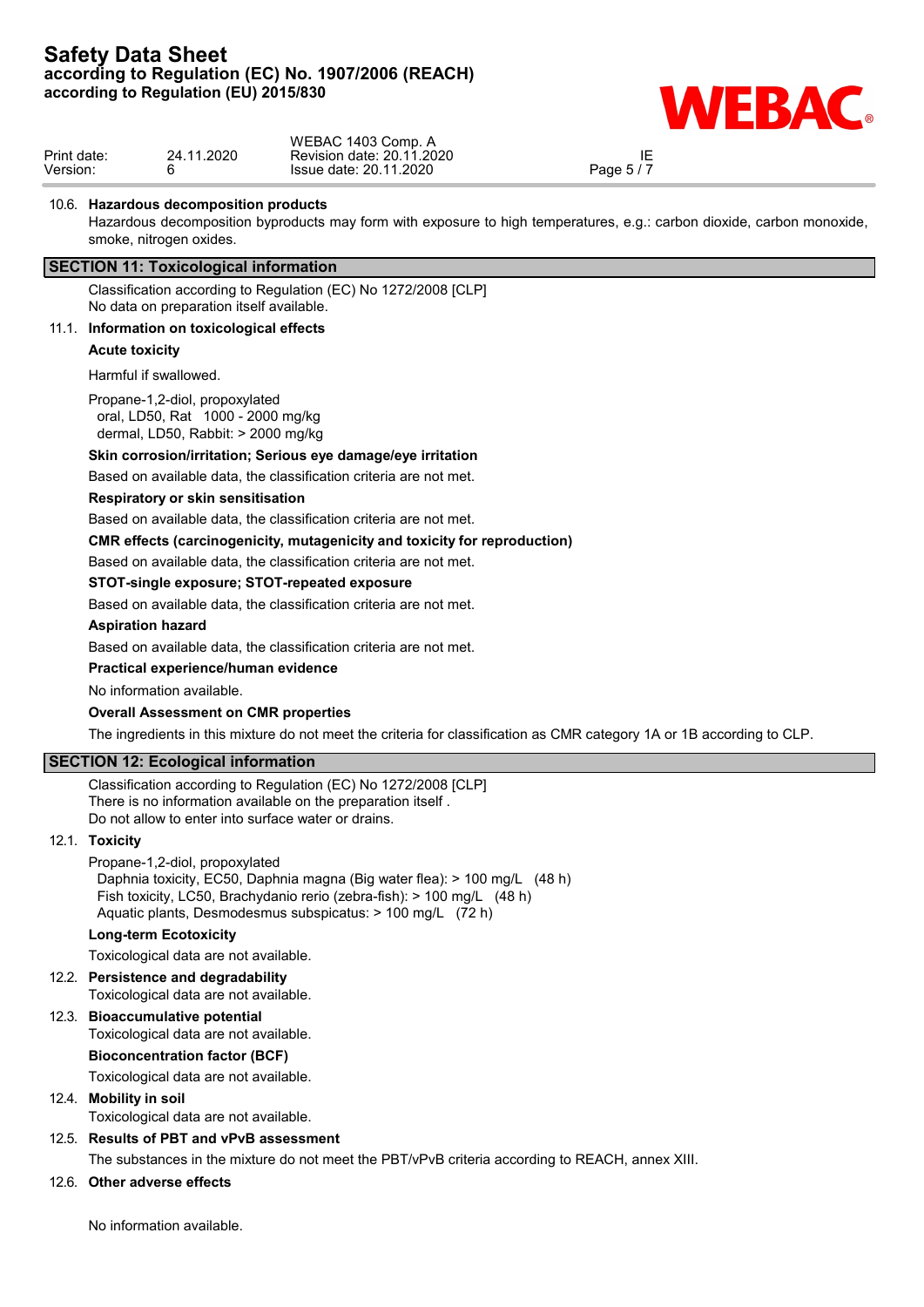

|             |                | WEBAC 1403 Comp. A                     |            |  |
|-------------|----------------|----------------------------------------|------------|--|
| Print date: | .2020<br>24 11 | 1.2020<br>20.11<br>, date∶<br>Revision | ΙE         |  |
| Version:    |                | 2020. ا<br>: 20.11<br>Issue date:      | $P$ age 5. |  |

IE<br>Page 5 / 7

## 10.6. **Hazardous decomposition products**

Hazardous decomposition byproducts may form with exposure to high temperatures, e.g.: carbon dioxide, carbon monoxide, smoke, nitrogen oxides.

## **SECTION 11: Toxicological information**

Classification according to Regulation (EC) No 1272/2008 [CLP] No data on preparation itself available.

#### 11.1. **Information on toxicological effects**

**Acute toxicity**

#### Harmful if swallowed.

Propane-1,2-diol, propoxylated oral, LD50, Rat 1000 - 2000 mg/kg dermal, LD50, Rabbit: > 2000 mg/kg

#### **Skin corrosion/irritation; Serious eye damage/eye irritation**

Based on available data, the classification criteria are not met.

#### **Respiratory or skin sensitisation**

Based on available data, the classification criteria are not met.

**CMR effects (carcinogenicity, mutagenicity and toxicity for reproduction)**

Based on available data, the classification criteria are not met.

#### **STOT-single exposure; STOT-repeated exposure**

Based on available data, the classification criteria are not met.

#### **Aspiration hazard**

Based on available data, the classification criteria are not met.

#### **Practical experience/human evidence**

No information available.

#### **Overall Assessment on CMR properties**

The ingredients in this mixture do not meet the criteria for classification as CMR category 1A or 1B according to CLP.

## **SECTION 12: Ecological information**

Classification according to Regulation (EC) No 1272/2008 [CLP] There is no information available on the preparation itself . Do not allow to enter into surface water or drains.

#### 12.1. **Toxicity**

Propane-1,2-diol, propoxylated Daphnia toxicity, EC50, Daphnia magna (Big water flea): > 100 mg/L (48 h) Fish toxicity, LC50, Brachydanio rerio (zebra-fish): > 100 mg/L (48 h) Aquatic plants, Desmodesmus subspicatus: > 100 mg/L (72 h)

## **Long-term Ecotoxicity**

Toxicological data are not available.

#### 12.2. **Persistence and degradability** Toxicological data are not available.

12.3. **Bioaccumulative potential**

# Toxicological data are not available.

**Bioconcentration factor (BCF)**

# Toxicological data are not available.

# 12.4. **Mobility in soil**

Toxicological data are not available.

## 12.5. **Results of PBT and vPvB assessment**

The substances in the mixture do not meet the PBT/vPvB criteria according to REACH, annex XIII.

## 12.6. **Other adverse effects**

No information available.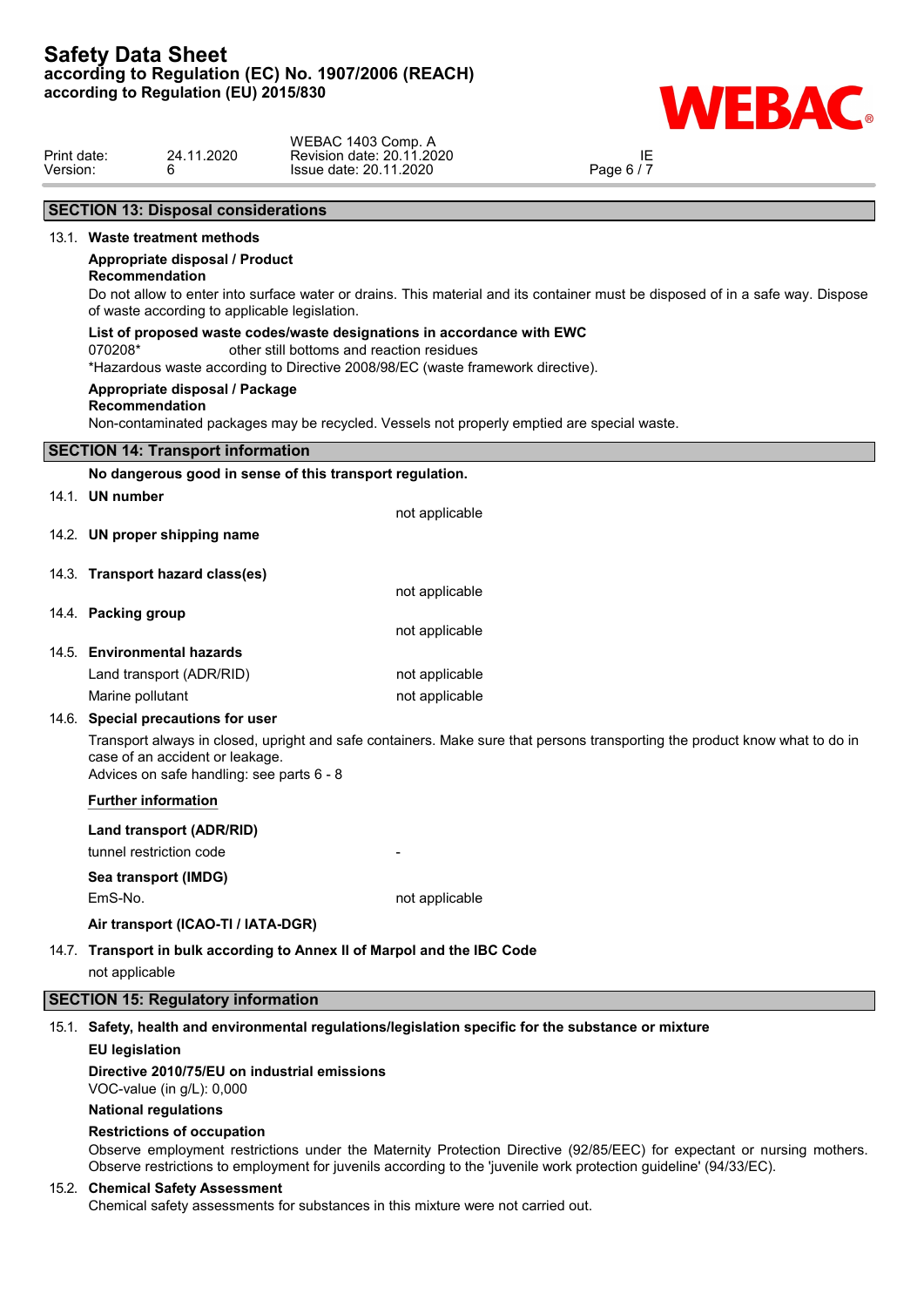

| Print date: |                     | 24.11.2020                                                                      | WEBAC 1403 Comp. A<br>Revision date: 20.11.2020                                                                                                                                                        | IE                                                                                                                             |  |
|-------------|---------------------|---------------------------------------------------------------------------------|--------------------------------------------------------------------------------------------------------------------------------------------------------------------------------------------------------|--------------------------------------------------------------------------------------------------------------------------------|--|
| Version:    |                     | 6                                                                               | Issue date: 20.11.2020                                                                                                                                                                                 | Page 6 / 7                                                                                                                     |  |
|             |                     | <b>SECTION 13: Disposal considerations</b>                                      |                                                                                                                                                                                                        |                                                                                                                                |  |
|             |                     | 13.1. Waste treatment methods                                                   |                                                                                                                                                                                                        |                                                                                                                                |  |
|             | Recommendation      | Appropriate disposal / Product<br>of waste according to applicable legislation. |                                                                                                                                                                                                        | Do not allow to enter into surface water or drains. This material and its container must be disposed of in a safe way. Dispose |  |
|             | 070208*             |                                                                                 | List of proposed waste codes/waste designations in accordance with EWC<br>other still bottoms and reaction residues<br>*Hazardous waste according to Directive 2008/98/EC (waste framework directive). |                                                                                                                                |  |
|             | Recommendation      | Appropriate disposal / Package                                                  | Non-contaminated packages may be recycled. Vessels not properly emptied are special waste.                                                                                                             |                                                                                                                                |  |
|             |                     | <b>SECTION 14: Transport information</b>                                        |                                                                                                                                                                                                        |                                                                                                                                |  |
|             |                     |                                                                                 | No dangerous good in sense of this transport regulation.                                                                                                                                               |                                                                                                                                |  |
|             | 14.1. UN number     |                                                                                 | not applicable                                                                                                                                                                                         |                                                                                                                                |  |
|             |                     | 14.2. UN proper shipping name                                                   |                                                                                                                                                                                                        |                                                                                                                                |  |
|             |                     | 14.3. Transport hazard class(es)                                                | not applicable                                                                                                                                                                                         |                                                                                                                                |  |
|             | 14.4. Packing group |                                                                                 | not applicable                                                                                                                                                                                         |                                                                                                                                |  |
|             |                     | 14.5. Environmental hazards                                                     |                                                                                                                                                                                                        |                                                                                                                                |  |
|             |                     | Land transport (ADR/RID)                                                        | not applicable                                                                                                                                                                                         |                                                                                                                                |  |
|             | Marine pollutant    |                                                                                 | not applicable                                                                                                                                                                                         |                                                                                                                                |  |
|             |                     | 14.6. Special precautions for user                                              |                                                                                                                                                                                                        |                                                                                                                                |  |

Transport always in closed, upright and safe containers. Make sure that persons transporting the product know what to do in case of an accident or leakage. Advices on safe handling: see parts 6 - 8

**Further information**

**Land transport (ADR/RID)**

tunnel restriction code

## **Sea transport (IMDG)** EmS-No. **not** applicable

**Air transport (ICAO-TI / IATA-DGR)**

14.7. **Transport in bulk according to Annex II of Marpol and the IBC Code** not applicable

# **SECTION 15: Regulatory information**

15.1. **Safety, health and environmental regulations/legislation specific for the substance or mixture**

#### **EU legislation**

**Directive 2010/75/EU on industrial emissions**

VOC-value (in g/L): 0,000

# **National regulations**

#### **Restrictions of occupation**

Observe employment restrictions under the Maternity Protection Directive (92/85/EEC) for expectant or nursing mothers. Observe restrictions to employment for juvenils according to the 'juvenile work protection guideline' (94/33/EC).

#### 15.2. **Chemical Safety Assessment**

Chemical safety assessments for substances in this mixture were not carried out.